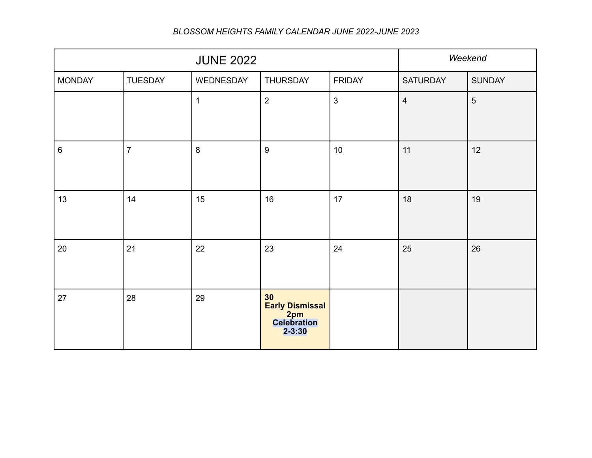| <b>JUNE 2022</b> |                |              |                                                           |                | Weekend         |                |
|------------------|----------------|--------------|-----------------------------------------------------------|----------------|-----------------|----------------|
| <b>MONDAY</b>    | <b>TUESDAY</b> | WEDNESDAY    | <b>THURSDAY</b>                                           | <b>FRIDAY</b>  | <b>SATURDAY</b> | <b>SUNDAY</b>  |
|                  |                | $\mathbf{1}$ | $\overline{2}$                                            | $\mathfrak{S}$ | $\overline{4}$  | $5\phantom{.}$ |
| $\,6\,$          | $\overline{7}$ | $\bf 8$      | $\boldsymbol{9}$                                          | 10             | 11              | 12             |
| 13               | 14             | 15           | 16                                                        | 17             | 18              | 19             |
| 20               | 21             | 22           | 23                                                        | 24             | 25              | 26             |
| 27               | 28             | 29           | 30<br>Early Dismissal<br>2pm<br>Celebration<br>$2 - 3:30$ |                |                 |                |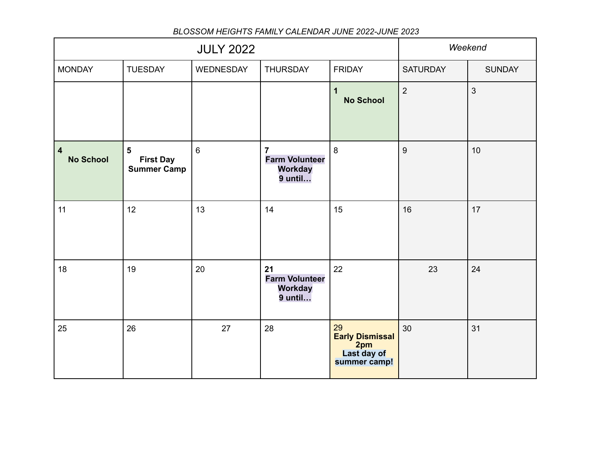|                                             |                                                          | Weekend        |                                                                        |                                                                    |                  |                |
|---------------------------------------------|----------------------------------------------------------|----------------|------------------------------------------------------------------------|--------------------------------------------------------------------|------------------|----------------|
| <b>MONDAY</b>                               | <b>TUESDAY</b>                                           | WEDNESDAY      | <b>THURSDAY</b>                                                        | <b>FRIDAY</b>                                                      | <b>SATURDAY</b>  | <b>SUNDAY</b>  |
|                                             |                                                          |                |                                                                        | $\mathbf 1$<br><b>No School</b>                                    | $\overline{2}$   | $\overline{3}$ |
| $\overline{\mathbf{4}}$<br><b>No School</b> | $5\phantom{1}$<br><b>First Day</b><br><b>Summer Camp</b> | $6\phantom{1}$ | $\overline{7}$<br><b>Farm Volunteer</b><br><b>Workday</b><br>$9$ until | 8                                                                  | $\boldsymbol{9}$ | 10             |
| 11                                          | 12                                                       | 13             | 14                                                                     | 15                                                                 | 16               | 17             |
| 18                                          | 19                                                       | 20             | 21<br><b>Farm Volunteer</b><br><b>Workday</b><br>9 until               | 22                                                                 | 23               | 24             |
| 25                                          | 26                                                       | 27             | 28                                                                     | 29<br><b>Early Dismissal</b><br>2pm<br>Last day of<br>summer camp! | 30               | 31             |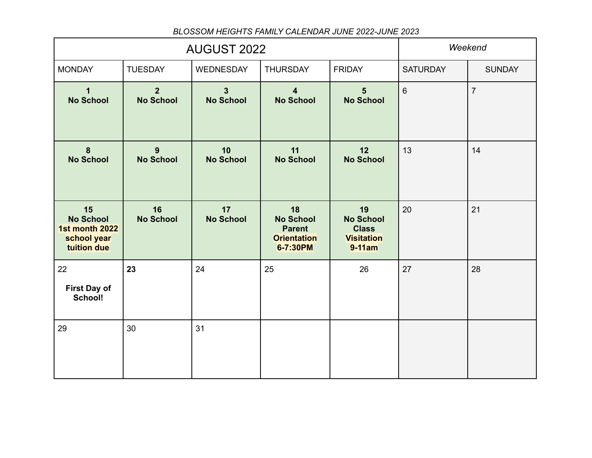|                                                                        | <b>AUGUST 2022</b>                 | Weekend                            |                                                                           |                                                                       |                 |                |
|------------------------------------------------------------------------|------------------------------------|------------------------------------|---------------------------------------------------------------------------|-----------------------------------------------------------------------|-----------------|----------------|
| <b>MONDAY</b>                                                          | <b>TUESDAY</b>                     | <b>WEDNESDAY</b>                   | <b>THURSDAY</b>                                                           | <b>FRIDAY</b>                                                         | <b>SATURDAY</b> | <b>SUNDAY</b>  |
| 1<br><b>No School</b>                                                  | 2 <sup>2</sup><br><b>No School</b> | $\overline{3}$<br><b>No School</b> | $\overline{\mathbf{4}}$<br><b>No School</b>                               | 5 <sup>5</sup><br><b>No School</b>                                    | $6\phantom{a}$  | $\overline{7}$ |
| $\boldsymbol{8}$<br><b>No School</b>                                   | 9<br><b>No School</b>              | 10<br><b>No School</b>             | 11<br><b>No School</b>                                                    | 12<br><b>No School</b>                                                | 13              | 14             |
| 15<br><b>No School</b><br>1st month 2022<br>school year<br>tuition due | 16<br><b>No School</b>             | 17<br><b>No School</b>             | 18<br><b>No School</b><br><b>Parent</b><br><b>Orientation</b><br>6-7:30PM | 19<br><b>No School</b><br><b>Class</b><br><b>Visitation</b><br>9-11am | 20              | 21             |
| 22<br><b>First Day of</b><br>School!                                   | 23                                 | 24                                 | 25                                                                        | 26                                                                    | 27              | 28             |
| 29                                                                     | 30                                 | 31                                 |                                                                           |                                                                       |                 |                |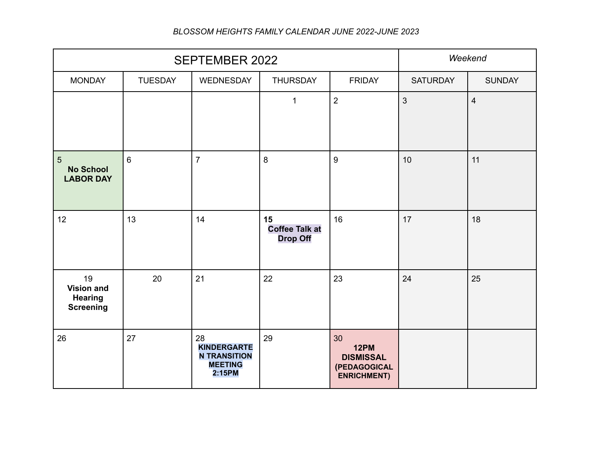|                                                               | <b>SEPTEMBER 2022</b> | Weekend                                                                     |                                                |                                                                      |                 |                         |
|---------------------------------------------------------------|-----------------------|-----------------------------------------------------------------------------|------------------------------------------------|----------------------------------------------------------------------|-----------------|-------------------------|
| <b>MONDAY</b>                                                 | <b>TUESDAY</b>        | WEDNESDAY                                                                   | <b>THURSDAY</b>                                | <b>FRIDAY</b>                                                        | <b>SATURDAY</b> | <b>SUNDAY</b>           |
|                                                               |                       |                                                                             | $\mathbf{1}$                                   | $\overline{2}$                                                       | $\mathbf{3}$    | $\overline{\mathbf{4}}$ |
| $5\phantom{1}$<br><b>No School</b><br><b>LABOR DAY</b>        | $6\phantom{1}$        | $\overline{7}$                                                              | 8                                              | 9                                                                    | 10              | 11                      |
| 12                                                            | 13                    | 14                                                                          | 15<br><b>Coffee Talk at</b><br><b>Drop Off</b> | 16                                                                   | 17              | 18                      |
| 19<br><b>Vision and</b><br><b>Hearing</b><br><b>Screening</b> | 20                    | 21                                                                          | 22                                             | 23                                                                   | 24              | 25                      |
| 26                                                            | 27                    | 28<br><b>KINDERGARTE</b><br><b>N TRANSITION</b><br><b>MEETING</b><br>2:15PM | 29                                             | 30<br>12PM<br><b>DISMISSAL</b><br>(PEDAGOGICAL<br><b>ENRICHMENT)</b> |                 |                         |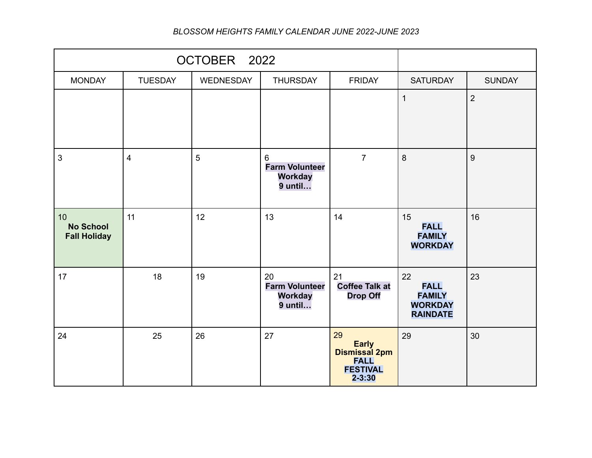|                                               | OCTOBER 2022            |                |                                                            |                                                                                     |                                                                         |                |
|-----------------------------------------------|-------------------------|----------------|------------------------------------------------------------|-------------------------------------------------------------------------------------|-------------------------------------------------------------------------|----------------|
| <b>MONDAY</b>                                 | <b>TUESDAY</b>          | WEDNESDAY      | <b>THURSDAY</b>                                            | <b>FRIDAY</b>                                                                       | <b>SATURDAY</b>                                                         | <b>SUNDAY</b>  |
|                                               |                         |                |                                                            |                                                                                     | $\mathbf{1}$                                                            | $\overline{2}$ |
| $\mathfrak{S}$                                | $\overline{\mathbf{4}}$ | $\overline{5}$ | 6<br><b>Farm Volunteer</b><br><b>Workday</b><br>$9$ until  | $\overline{7}$                                                                      | 8                                                                       | 9              |
| 10<br><b>No School</b><br><b>Fall Holiday</b> | 11                      | 12             | 13                                                         | 14                                                                                  | 15<br><b>FALL</b><br><b>FAMILY</b><br><b>WORKDAY</b>                    | 16             |
| 17                                            | 18                      | 19             | 20<br><b>Farm Volunteer</b><br><b>Workday</b><br>$9$ until | 21<br><b>Coffee Talk at</b><br><b>Drop Off</b>                                      | 22<br><b>FALL</b><br><b>FAMILY</b><br><b>WORKDAY</b><br><b>RAINDATE</b> | 23             |
| 24                                            | 25                      | 26             | 27                                                         | 29<br><b>Early</b><br>Dismissal 2pm<br><b>FALL</b><br><b>FESTIVAL</b><br>$2 - 3:30$ | 29                                                                      | 30             |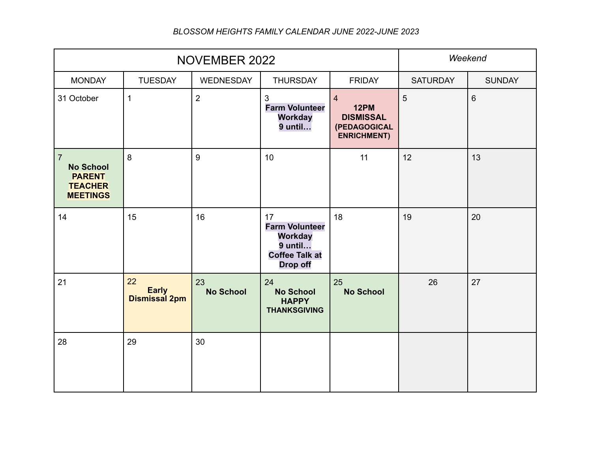|                                                                                          | NOVEMBER 2022                       | Weekend                |                                                                                                      |                                                                                         |                 |               |
|------------------------------------------------------------------------------------------|-------------------------------------|------------------------|------------------------------------------------------------------------------------------------------|-----------------------------------------------------------------------------------------|-----------------|---------------|
| <b>MONDAY</b>                                                                            | <b>TUESDAY</b>                      | WEDNESDAY              | <b>THURSDAY</b>                                                                                      | <b>FRIDAY</b>                                                                           | <b>SATURDAY</b> | <b>SUNDAY</b> |
| 31 October                                                                               | $\mathbf{1}$                        | $\overline{2}$         | $\mathbf{3}$<br><b>Farm Volunteer</b><br><b>Workday</b><br>9 until                                   | $\overline{4}$<br><b>12PM</b><br><b>DISMISSAL</b><br>(PEDAGOGICAL<br><b>ENRICHMENT)</b> | $5\phantom{.}$  | 6             |
| $\overline{7}$<br><b>No School</b><br><b>PARENT</b><br><b>TEACHER</b><br><b>MEETINGS</b> | 8                                   | $\overline{9}$         | 10                                                                                                   | 11                                                                                      | 12              | 13            |
| 14                                                                                       | 15                                  | 16                     | 17<br><b>Farm Volunteer</b><br><b>Workday</b><br>9 until<br><b>Coffee Talk at</b><br><b>Drop off</b> | 18                                                                                      | 19              | 20            |
| 21                                                                                       | 22<br><b>Early</b><br>Dismissal 2pm | 23<br><b>No School</b> | 24<br><b>No School</b><br><b>HAPPY</b><br><b>THANKSGIVING</b>                                        | 25<br><b>No School</b>                                                                  | 26              | 27            |
| 28                                                                                       | 29                                  | 30                     |                                                                                                      |                                                                                         |                 |               |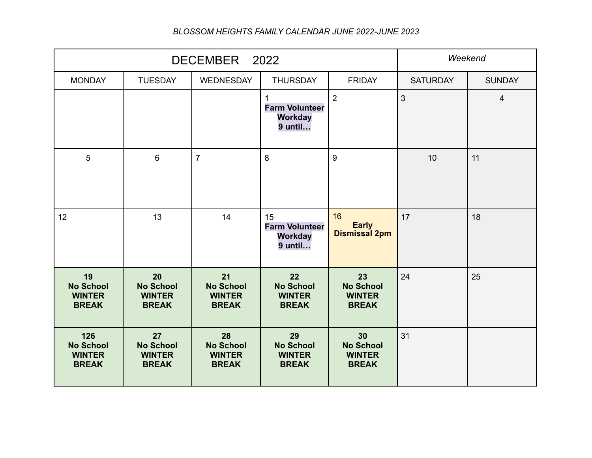|                                                          | DECEMBER 2022                                           | Weekend                                                 |                                                          |                                                         |                 |                          |
|----------------------------------------------------------|---------------------------------------------------------|---------------------------------------------------------|----------------------------------------------------------|---------------------------------------------------------|-----------------|--------------------------|
| <b>MONDAY</b>                                            | <b>TUESDAY</b>                                          | <b>WEDNESDAY</b>                                        | <b>THURSDAY</b>                                          | <b>FRIDAY</b>                                           | <b>SATURDAY</b> | <b>SUNDAY</b>            |
|                                                          |                                                         |                                                         | <b>Farm Volunteer</b><br><b>Workday</b><br>9 until       | $\overline{2}$                                          | 3               | $\overline{\mathcal{A}}$ |
| $5\phantom{.}$                                           | $6\phantom{1}$                                          | $\overline{7}$                                          | 8                                                        | 9                                                       | 10              | 11                       |
| 12                                                       | 13                                                      | 14                                                      | 15<br><b>Farm Volunteer</b><br><b>Workday</b><br>9 until | 16<br><b>Early</b><br><b>Dismissal 2pm</b>              | 17              | 18                       |
| 19<br><b>No School</b><br><b>WINTER</b><br><b>BREAK</b>  | 20<br><b>No School</b><br><b>WINTER</b><br><b>BREAK</b> | 21<br><b>No School</b><br><b>WINTER</b><br><b>BREAK</b> | 22<br><b>No School</b><br><b>WINTER</b><br><b>BREAK</b>  | 23<br><b>No School</b><br><b>WINTER</b><br><b>BREAK</b> | 24              | 25                       |
| 126<br><b>No School</b><br><b>WINTER</b><br><b>BREAK</b> | 27<br><b>No School</b><br><b>WINTER</b><br><b>BREAK</b> | 28<br><b>No School</b><br><b>WINTER</b><br><b>BREAK</b> | 29<br><b>No School</b><br><b>WINTER</b><br><b>BREAK</b>  | 30<br><b>No School</b><br><b>WINTER</b><br><b>BREAK</b> | 31              |                          |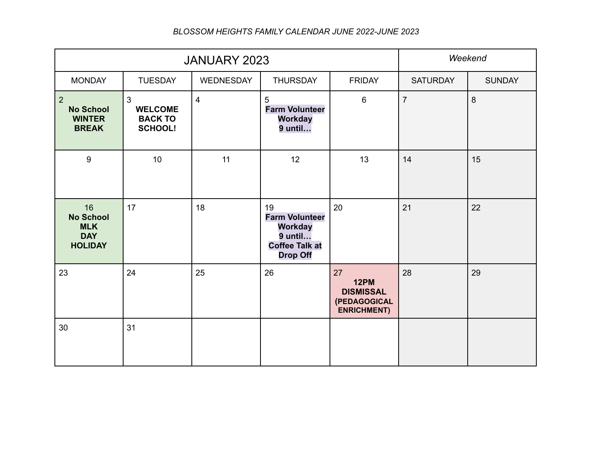|                                                                      | JANUARY 2023                                                         | Weekend        |                                                                                                        |                                                                      |                 |               |
|----------------------------------------------------------------------|----------------------------------------------------------------------|----------------|--------------------------------------------------------------------------------------------------------|----------------------------------------------------------------------|-----------------|---------------|
| <b>MONDAY</b>                                                        | <b>TUESDAY</b>                                                       | WEDNESDAY      | <b>THURSDAY</b>                                                                                        | <b>FRIDAY</b>                                                        | <b>SATURDAY</b> | <b>SUNDAY</b> |
| $\overline{2}$<br><b>No School</b><br><b>WINTER</b><br><b>BREAK</b>  | $\mathfrak{S}$<br><b>WELCOME</b><br><b>BACK TO</b><br><b>SCHOOL!</b> | $\overline{4}$ | 5<br><b>Farm Volunteer</b><br><b>Workday</b><br>9 until                                                | $6\phantom{a}$                                                       | $\overline{7}$  | $\delta$      |
| 9                                                                    | 10                                                                   | 11             | 12                                                                                                     | 13                                                                   | 14              | 15            |
| 16<br><b>No School</b><br><b>MLK</b><br><b>DAY</b><br><b>HOLIDAY</b> | 17                                                                   | 18             | 19<br><b>Farm Volunteer</b><br><b>Workday</b><br>$9$ until<br><b>Coffee Talk at</b><br><b>Drop Off</b> | 20                                                                   | 21              | 22            |
| 23                                                                   | 24                                                                   | 25             | 26                                                                                                     | 27<br>12PM<br><b>DISMISSAL</b><br>(PEDAGOGICAL<br><b>ENRICHMENT)</b> | 28              | 29            |
| 30                                                                   | 31                                                                   |                |                                                                                                        |                                                                      |                 |               |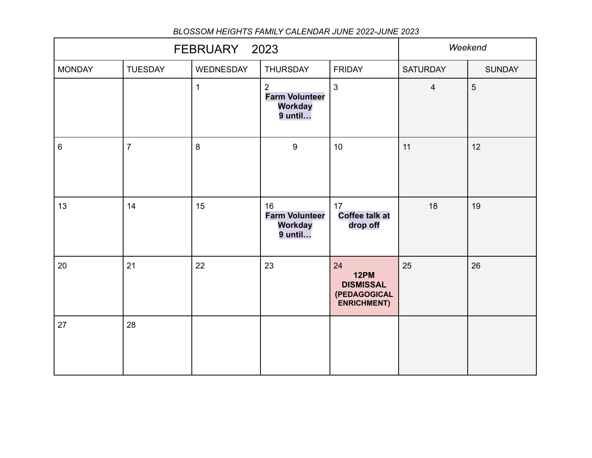|               | FEBRUARY 2023  | Weekend      |                                                          |                                                                             |                 |               |
|---------------|----------------|--------------|----------------------------------------------------------|-----------------------------------------------------------------------------|-----------------|---------------|
| <b>MONDAY</b> | <b>TUESDAY</b> | WEDNESDAY    | <b>THURSDAY</b>                                          | <b>FRIDAY</b>                                                               | <b>SATURDAY</b> | <b>SUNDAY</b> |
|               |                | $\mathbf{1}$ | 2<br><b>Farm Volunteer</b><br><b>Workday</b><br>9 until  | $\mathbf{3}$                                                                | $\overline{4}$  | 5             |
| $\,6\,$       | $\overline{7}$ | 8            | $\boldsymbol{9}$                                         | 10                                                                          | 11              | 12            |
| 13            | 14             | 15           | 16<br><b>Farm Volunteer</b><br><b>Workday</b><br>9 until | 17<br><b>Coffee talk at</b><br>drop off                                     | 18              | 19            |
| 20            | 21             | 22           | 23                                                       | 24<br><b>12PM</b><br><b>DISMISSAL</b><br>(PEDAGOGICAL<br><b>ENRICHMENT)</b> | 25              | 26            |
| 27            | 28             |              |                                                          |                                                                             |                 |               |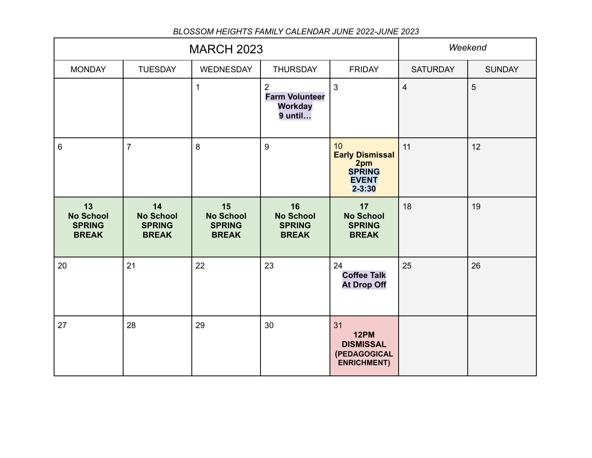|                                                         | <b>MARCH 2023</b>                                       | Weekend                                                 |                                                                      |                                                                                    |                 |               |
|---------------------------------------------------------|---------------------------------------------------------|---------------------------------------------------------|----------------------------------------------------------------------|------------------------------------------------------------------------------------|-----------------|---------------|
| <b>MONDAY</b>                                           | <b>TUESDAY</b>                                          | WEDNESDAY                                               | <b>THURSDAY</b>                                                      | <b>FRIDAY</b>                                                                      | <b>SATURDAY</b> | <b>SUNDAY</b> |
|                                                         |                                                         | $\mathbf{1}$                                            | $\overline{2}$<br><b>Farm Volunteer</b><br><b>Workday</b><br>9 until | $\mathbf{3}$                                                                       | $\overline{4}$  | 5             |
| $6\phantom{1}$                                          | $\overline{7}$                                          | 8                                                       | 9                                                                    | 10<br><b>Early Dismissal</b><br>2pm<br><b>SPRING</b><br><b>EVENT</b><br>$2 - 3:30$ | 11              | 12            |
| 13<br><b>No School</b><br><b>SPRING</b><br><b>BREAK</b> | 14<br><b>No School</b><br><b>SPRING</b><br><b>BREAK</b> | 15<br><b>No School</b><br><b>SPRING</b><br><b>BREAK</b> | 16<br><b>No School</b><br><b>SPRING</b><br><b>BREAK</b>              | 17<br><b>No School</b><br><b>SPRING</b><br><b>BREAK</b>                            | 18              | 19            |
| 20                                                      | 21                                                      | 22                                                      | 23                                                                   | 24<br><b>Coffee Talk</b><br><b>At Drop Off</b>                                     | 25              | 26            |
| 27                                                      | 28                                                      | 29                                                      | 30                                                                   | 31<br>12PM<br><b>DISMISSAL</b><br>(PEDAGOGICAL<br><b>ENRICHMENT)</b>               |                 |               |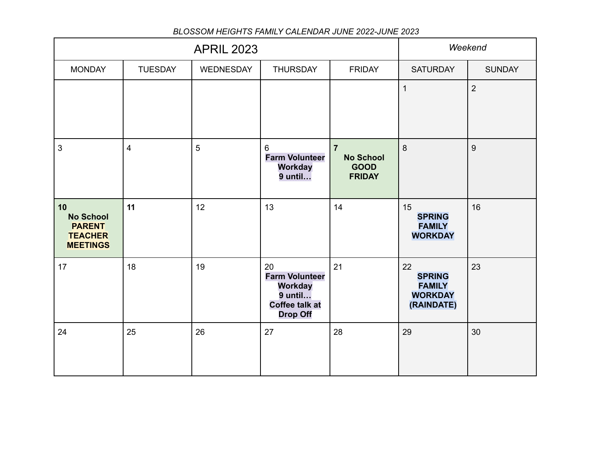|                                                                              |                         | Weekend        |                                                                                                        |                                                                    |                                                                      |                |
|------------------------------------------------------------------------------|-------------------------|----------------|--------------------------------------------------------------------------------------------------------|--------------------------------------------------------------------|----------------------------------------------------------------------|----------------|
| <b>MONDAY</b>                                                                | <b>TUESDAY</b>          | WEDNESDAY      | <b>THURSDAY</b>                                                                                        | <b>FRIDAY</b>                                                      | <b>SATURDAY</b>                                                      | <b>SUNDAY</b>  |
|                                                                              |                         |                |                                                                                                        |                                                                    | $\mathbf{1}$                                                         | $\overline{2}$ |
| 3                                                                            | $\overline{\mathbf{4}}$ | $5\phantom{.}$ | 6<br><b>Farm Volunteer</b><br><b>Workday</b><br>$9$ until                                              | $\overline{7}$<br><b>No School</b><br><b>GOOD</b><br><b>FRIDAY</b> | 8                                                                    | 9              |
| 10<br><b>No School</b><br><b>PARENT</b><br><b>TEACHER</b><br><b>MEETINGS</b> | 11                      | 12             | 13                                                                                                     | 14                                                                 | 15<br><b>SPRING</b><br><b>FAMILY</b><br><b>WORKDAY</b>               | 16             |
| 17                                                                           | 18                      | 19             | 20<br><b>Farm Volunteer</b><br><b>Workday</b><br>$9$ until<br><b>Coffee talk at</b><br><b>Drop Off</b> | 21                                                                 | 22<br><b>SPRING</b><br><b>FAMILY</b><br><b>WORKDAY</b><br>(RAINDATE) | 23             |
| 24                                                                           | 25                      | 26             | 27                                                                                                     | 28                                                                 | 29                                                                   | 30             |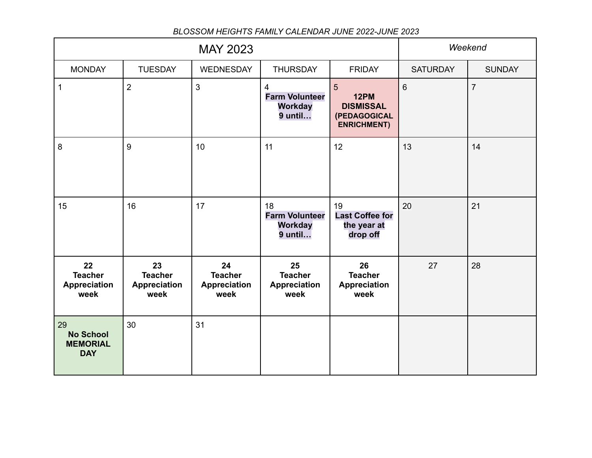|                                                         |                                                     | Weekend                                             |                                                                      |                                                                            |                 |                |
|---------------------------------------------------------|-----------------------------------------------------|-----------------------------------------------------|----------------------------------------------------------------------|----------------------------------------------------------------------------|-----------------|----------------|
| <b>MONDAY</b>                                           | <b>TUESDAY</b>                                      | <b>WEDNESDAY</b>                                    | <b>THURSDAY</b>                                                      | <b>FRIDAY</b>                                                              | <b>SATURDAY</b> | <b>SUNDAY</b>  |
| $\mathbf{1}$                                            | $\overline{2}$                                      | $\mathfrak{S}$                                      | $\overline{4}$<br><b>Farm Volunteer</b><br><b>Workday</b><br>9 until | 5<br><b>12PM</b><br><b>DISMISSAL</b><br>(PEDAGOGICAL<br><b>ENRICHMENT)</b> | $6\phantom{1}$  | $\overline{7}$ |
| $\bf 8$                                                 | 9                                                   | 10                                                  | 11                                                                   | 12                                                                         | 13              | 14             |
| 15                                                      | 16                                                  | 17                                                  | 18<br><b>Farm Volunteer</b><br><b>Workday</b><br>9 until             | 19<br><b>Last Coffee for</b><br>the year at<br>drop off                    | 20              | 21             |
| 22<br><b>Teacher</b><br><b>Appreciation</b><br>week     | 23<br><b>Teacher</b><br><b>Appreciation</b><br>week | 24<br><b>Teacher</b><br><b>Appreciation</b><br>week | 25<br><b>Teacher</b><br><b>Appreciation</b><br>week                  | 26<br><b>Teacher</b><br><b>Appreciation</b><br>week                        | 27              | 28             |
| 29<br><b>No School</b><br><b>MEMORIAL</b><br><b>DAY</b> | 30                                                  | 31                                                  |                                                                      |                                                                            |                 |                |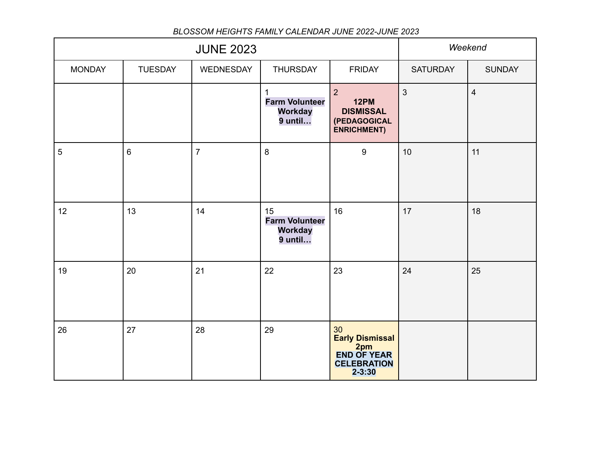| <b>JUNE 2023</b> |                |                |                                                            |                                                                                         | Weekend         |                |
|------------------|----------------|----------------|------------------------------------------------------------|-----------------------------------------------------------------------------------------|-----------------|----------------|
| <b>MONDAY</b>    | <b>TUESDAY</b> | WEDNESDAY      | <b>THURSDAY</b>                                            | <b>FRIDAY</b>                                                                           | <b>SATURDAY</b> | <b>SUNDAY</b>  |
|                  |                |                | <b>Farm Volunteer</b><br><b>Workday</b><br>9 until         | $\overline{2}$<br><b>12PM</b><br><b>DISMISSAL</b><br>(PEDAGOGICAL<br><b>ENRICHMENT)</b> | $\mathbf{3}$    | $\overline{4}$ |
| $\overline{5}$   | $6\phantom{a}$ | $\overline{7}$ | $\bf 8$                                                    | $\boldsymbol{9}$                                                                        | 10              | 11             |
| 12               | 13             | 14             | 15<br><b>Farm Volunteer</b><br><b>Workday</b><br>$9$ until | 16                                                                                      | 17              | 18             |
| 19               | 20             | 21             | 22                                                         | 23                                                                                      | 24              | 25             |
| 26               | 27             | 28             | 29                                                         | 30<br>Early Dismissal<br>2pm<br><b>END OF YEAR</b><br><b>CELEBRATION</b><br>$2 - 3:30$  |                 |                |